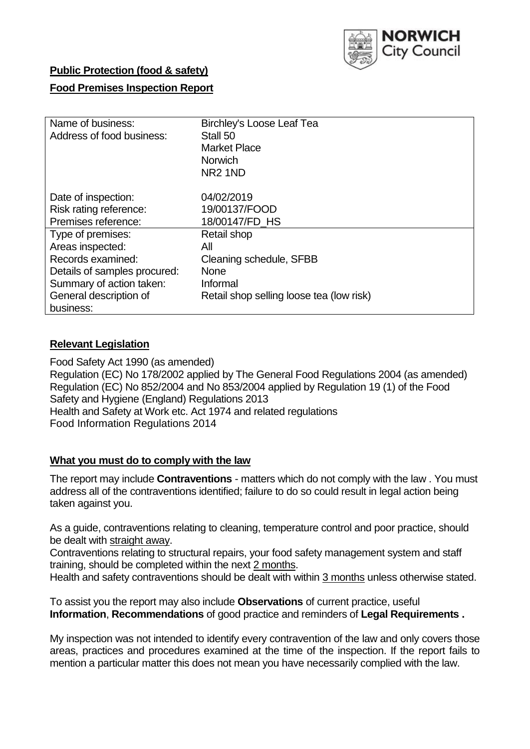

## **Public Protection (food & safety)**

### **Food Premises Inspection Report**

| Name of business:            | <b>Birchley's Loose Leaf Tea</b>         |  |  |  |  |
|------------------------------|------------------------------------------|--|--|--|--|
| Address of food business:    | Stall 50                                 |  |  |  |  |
|                              | <b>Market Place</b>                      |  |  |  |  |
|                              | <b>Norwich</b>                           |  |  |  |  |
|                              | NR <sub>2</sub> 1ND                      |  |  |  |  |
|                              |                                          |  |  |  |  |
| Date of inspection:          | 04/02/2019                               |  |  |  |  |
| Risk rating reference:       | 19/00137/FOOD                            |  |  |  |  |
| Premises reference:          | 18/00147/FD HS                           |  |  |  |  |
| Type of premises:            | Retail shop                              |  |  |  |  |
| Areas inspected:             | All                                      |  |  |  |  |
| Records examined:            | Cleaning schedule, SFBB                  |  |  |  |  |
| Details of samples procured: | <b>None</b>                              |  |  |  |  |
| Summary of action taken:     | Informal                                 |  |  |  |  |
| General description of       | Retail shop selling loose tea (low risk) |  |  |  |  |
| business:                    |                                          |  |  |  |  |

#### **Relevant Legislation**

Food Safety Act 1990 (as amended) Regulation (EC) No 178/2002 applied by The General Food Regulations 2004 (as amended) Regulation (EC) No 852/2004 and No 853/2004 applied by Regulation 19 (1) of the Food Safety and Hygiene (England) Regulations 2013 Health and Safety at Work etc. Act 1974 and related regulations Food Information Regulations 2014

#### **What you must do to comply with the law**

The report may include **Contraventions** - matters which do not comply with the law . You must address all of the contraventions identified; failure to do so could result in legal action being taken against you.

As a guide, contraventions relating to cleaning, temperature control and poor practice, should be dealt with straight away.

Contraventions relating to structural repairs, your food safety management system and staff training, should be completed within the next 2 months.

Health and safety contraventions should be dealt with within 3 months unless otherwise stated.

To assist you the report may also include **Observations** of current practice, useful **Information**, **Recommendations** of good practice and reminders of **Legal Requirements .**

My inspection was not intended to identify every contravention of the law and only covers those areas, practices and procedures examined at the time of the inspection. If the report fails to mention a particular matter this does not mean you have necessarily complied with the law.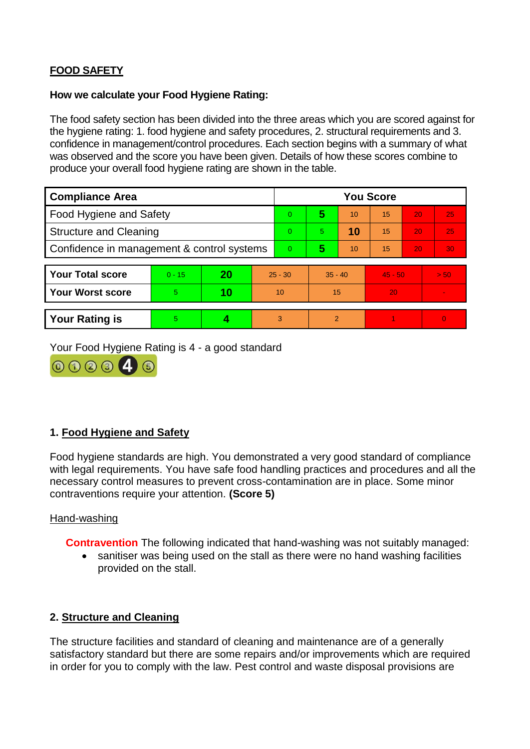# **FOOD SAFETY**

#### **How we calculate your Food Hygiene Rating:**

The food safety section has been divided into the three areas which you are scored against for the hygiene rating: 1. food hygiene and safety procedures, 2. structural requirements and 3. confidence in management/control procedures. Each section begins with a summary of what was observed and the score you have been given. Details of how these scores combine to produce your overall food hygiene rating are shown in the table.

| <b>Compliance Area</b>                     |          |    |           | <b>You Score</b> |                |    |           |    |          |  |  |
|--------------------------------------------|----------|----|-----------|------------------|----------------|----|-----------|----|----------|--|--|
| Food Hygiene and Safety                    |          |    |           | $\Omega$         | 5              | 10 | 15        | 20 | 25       |  |  |
| <b>Structure and Cleaning</b>              |          |    |           | $\Omega$         | 5.             | 10 | 15        | 20 | 25       |  |  |
| Confidence in management & control systems |          |    |           | $\Omega$         | 5              | 10 | 15        | 20 | 30       |  |  |
|                                            |          |    |           |                  |                |    |           |    |          |  |  |
| <b>Your Total score</b>                    | $0 - 15$ | 20 | $25 - 30$ |                  | $35 - 40$      |    | $45 - 50$ |    | > 50     |  |  |
| <b>Your Worst score</b>                    | 5        | 10 | 10        |                  | 15             |    | 20        |    |          |  |  |
|                                            |          |    |           |                  |                |    |           |    |          |  |  |
| <b>Your Rating is</b>                      | 5        |    |           | 3                | $\overline{2}$ |    |           |    | $\Omega$ |  |  |

Your Food Hygiene Rating is 4 - a good standard



## **1. Food Hygiene and Safety**

Food hygiene standards are high. You demonstrated a very good standard of compliance with legal requirements. You have safe food handling practices and procedures and all the necessary control measures to prevent cross-contamination are in place. Some minor contraventions require your attention. **(Score 5)**

#### Hand-washing

**Contravention** The following indicated that hand-washing was not suitably managed:

• sanitiser was being used on the stall as there were no hand washing facilities provided on the stall.

#### **2. Structure and Cleaning**

The structure facilities and standard of cleaning and maintenance are of a generally satisfactory standard but there are some repairs and/or improvements which are required in order for you to comply with the law. Pest control and waste disposal provisions are